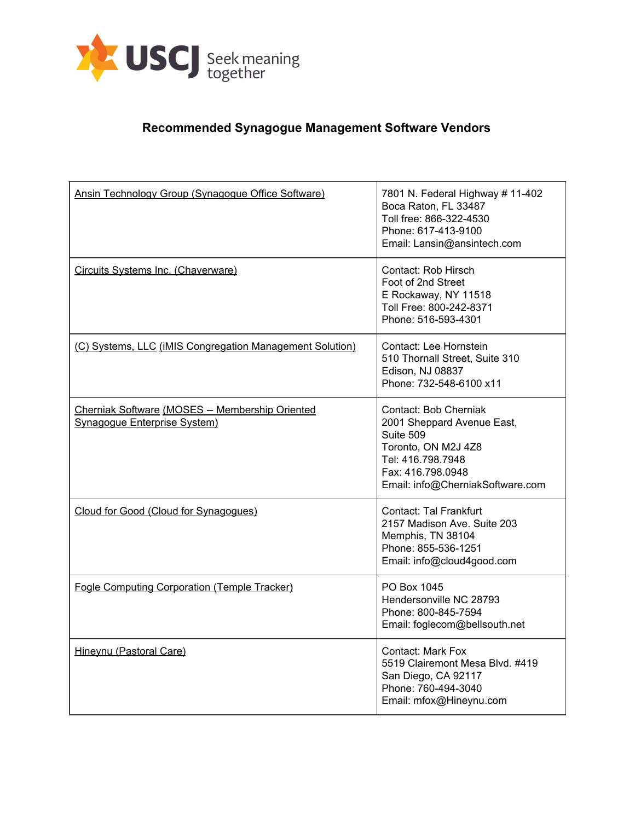

## **Recommended Synagogue Management Software Vendors**

| Ansin Technology Group (Synagogue Office Software)                                     | 7801 N. Federal Highway # 11-402<br>Boca Raton, FL 33487<br>Toll free: 866-322-4530<br>Phone: 617-413-9100<br>Email: Lansin@ansintech.com                             |
|----------------------------------------------------------------------------------------|-----------------------------------------------------------------------------------------------------------------------------------------------------------------------|
| Circuits Systems Inc. (Chaverware)                                                     | Contact: Rob Hirsch<br>Foot of 2nd Street<br>E Rockaway, NY 11518<br>Toll Free: 800-242-8371<br>Phone: 516-593-4301                                                   |
| (C) Systems, LLC (iMIS Congregation Management Solution)                               | Contact: Lee Hornstein<br>510 Thornall Street, Suite 310<br>Edison, NJ 08837<br>Phone: 732-548-6100 x11                                                               |
| Cherniak Software (MOSES -- Membership Oriented<br><b>Synagogue Enterprise System)</b> | Contact: Bob Cherniak<br>2001 Sheppard Avenue East,<br>Suite 509<br>Toronto, ON M2J 4Z8<br>Tel: 416.798.7948<br>Fax: 416.798.0948<br>Email: info@CherniakSoftware.com |
| Cloud for Good (Cloud for Synagogues)                                                  | Contact: Tal Frankfurt<br>2157 Madison Ave, Suite 203<br>Memphis, TN 38104<br>Phone: 855-536-1251<br>Email: info@cloud4good.com                                       |
| <b>Fogle Computing Corporation (Temple Tracker)</b>                                    | PO Box 1045<br>Hendersonville NC 28793<br>Phone: 800-845-7594<br>Email: foglecom@bellsouth.net                                                                        |
| Hineynu (Pastoral Care)                                                                | Contact: Mark Fox<br>5519 Clairemont Mesa Blvd. #419<br>San Diego, CA 92117<br>Phone: 760-494-3040<br>Email: mfox@Hineynu.com                                         |